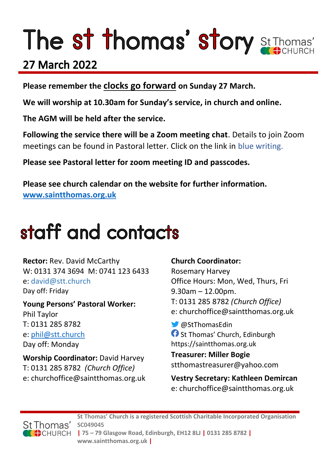# The st thomas' story St Thomas'

### 27 March 2022

**Please remember the clocks go forward on Sunday 27 March.**

**We will worship at 10.30am for Sunday's service, in church and online.** 

**The AGM will be held after the service.**

**Following the service there will be a Zoom meeting chat**. Details to join Zoom meetings can be found in Pastoral letter. Click on the link in blue writing.

**Please see Pastoral letter for zoom meeting ID and passcodes.**

**Please see church calendar on the website for further information. [www.saintthomas.org.uk](http://www.saintthomas.org.uk/)**

### staff and contacts

**Rector:** Rev. David McCarthy W: 0131 374 3694 M: 0741 123 6433 e: david@stt.church Day off: Friday

**Young Persons' Pastoral Worker:** Phil Taylor T: 0131 285 8782 e: [phil@stt.church](mailto:phil@stt.church) Day off: Monday

**Worship Coordinator:** David Harvey T: 0131 285 8782 *(Church Office)* e: churchoffice@saintthomas.org.uk

#### **Church Coordinator:**

Rosemary Harvey Office Hours: Mon, Wed, Thurs, Fri 9.30am – 12.00pm. T: 0131 285 8782 *(Church Office)* e: churchoffice@saintthomas.org.uk

@StThomasEdin **St Thomas' Church, Edinburgh** https://saintthomas.org.uk

**Treasurer: Miller Bogie** stthomastreasurer@yahoo.com

**Vestry Secretary: Kathleen Demircan**  e: churchoffice@saintthomas.org.uk

St Thomas' CHURCH

**St Thomas' Church is a registered Scottish Charitable Incorporated Organisation SC049045 | 75 – 79 Glasgow Road, Edinburgh, EH12 8LJ | 0131 285 8782 | www.saintthomas.org.uk |**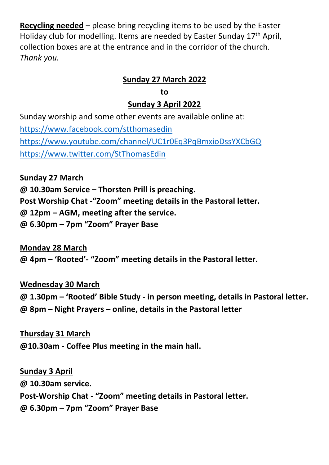**Recycling needed** – please bring recycling items to be used by the Easter Holiday club for modelling. Items are needed by Easter Sunday 17th April, collection boxes are at the entrance and in the corridor of the church. *Thank you.*

#### **Sunday 27 March 2022**

#### **to**

#### **Sunday 3 April 2022**

Sunday worship and some other events are available online at: <https://www.facebook.com/stthomasedin> <https://www.youtube.com/channel/UC1r0Eq3PqBmxioDssYXCbGQ> <https://www.twitter.com/StThomasEdin>

**Sunday 27 March**

**@ 10.30am Service – Thorsten Prill is preaching.**

**Post Worship Chat -"Zoom" meeting details in the Pastoral letter.**

**@ 12pm – AGM, meeting after the service.**

**@ 6.30pm – 7pm "Zoom" Prayer Base**

**Monday 28 March @ 4pm – 'Rooted'- "Zoom" meeting details in the Pastoral letter.**

**Wednesday 30 March**

**@ 1.30pm – 'Rooted' Bible Study - in person meeting, details in Pastoral letter. @ 8pm – Night Prayers – online, details in the Pastoral letter**

**Thursday 31 March @10.30am - Coffee Plus meeting in the main hall.**

**Sunday 3 April**

**@ 10.30am service. Post-Worship Chat - "Zoom" meeting details in Pastoral letter. @ 6.30pm – 7pm "Zoom" Prayer Base**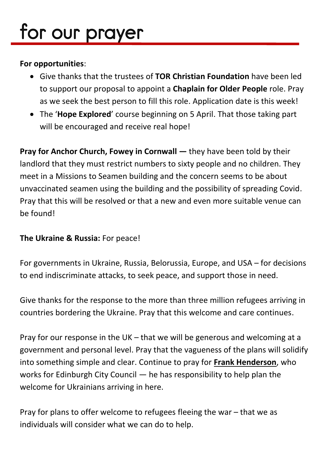## for our prayer

#### **For opportunities**:

- Give thanks that the trustees of **TOR Christian Foundation** have been led to support our proposal to appoint a **Chaplain for Older People** role. Pray as we seek the best person to fill this role. Application date is this week!
- The '**Hope Explored**' course beginning on 5 April. That those taking part will be encouraged and receive real hope!

**Pray for Anchor Church, Fowey in Cornwall — they have been told by their** landlord that they must restrict numbers to sixty people and no children. They meet in a Missions to Seamen building and the concern seems to be about unvaccinated seamen using the building and the possibility of spreading Covid. Pray that this will be resolved or that a new and even more suitable venue can be found!

#### **The Ukraine & Russia:** For peace!

For governments in Ukraine, Russia, Belorussia, Europe, and USA – for decisions to end indiscriminate attacks, to seek peace, and support those in need.

Give thanks for the response to the more than three million refugees arriving in countries bordering the Ukraine. Pray that this welcome and care continues.

Pray for our response in the UK – that we will be generous and welcoming at a government and personal level. Pray that the vagueness of the plans will solidify into something simple and clear. Continue to pray for **Frank Henderson**, who works for Edinburgh City Council — he has responsibility to help plan the welcome for Ukrainians arriving in here.

Pray for plans to offer welcome to refugees fleeing the war – that we as individuals will consider what we can do to help.